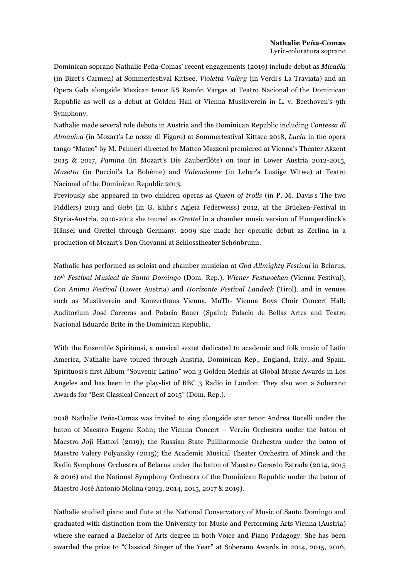Dominican soprano Nathalie Peña-Comas' recent engagements (2019) include debut as *Micaëla* (in Bizet's Carmen) at Sommerfestival Kittsee, *Violetta Valéry* (in Verdi's La Traviata) and an Opera Gala alongside Mexican tenor KS Ramón Vargas at Teatro Nacional of the Dominican Republic as well as a debut at Golden Hall of Vienna Musikverein in L. v. Beethoven's 9th Symphony.

Nathalie made several role debuts in Austria and the Dominican Republic including *Contessa di Almaviva* (in Mozart's Le nozze di Figaro) at Sommerfestival Kittsee 2018, *Lucia* in the opera tango "Mateo" by M. Palmeri directed by Matteo Mazzoni premiered at Vienna's Theater Akzent 2015 & 2017, *Pamina* (in Mozart's Die Zauberflöte) on tour in Lower Austria 2012-2015, *Musetta* (in Puccini's La Bohème) and *Valencienne* (in Lehar's Lustige Witwe) at Teatro Nacional of the Dominican Republic 2013.

Previously she appeared in two children operas as *Queen of trolls* (in P. M. Davis's The two Fiddlers) 2013 and *Gabi* (in G. Kühr's Agleia Federweiss) 2012, at the Brücken-Festival in Styria-Austria. 2010-2012 she toured as *Grettel* in a chamber music version of Humperdinck's Hänsel und Grettel through Germany. 2009 she made her operatic debut as Zerlina in a production of Mozart's Don Giovanni at Schlosstheater Schönbrunn.

Nathalie has performed as soloist and chamber musician at *God Allmighty Festival* in Belarus, *10th Festival Musical de Santo Domingo* (Dom. Rep.), *Wiener Festwochen* (Vienna Festival), *Con Anima Festival* (Lower Austria) and *Horizonte Festival Landeck* (Tirol), and in venues such as Musikverein and Konzerthaus Vienna, MuTh- Vienna Boys Choir Concert Hall; Auditorium José Carreras and Palacio Bauer (Spain); Palacio de Bellas Artes and Teatro Nacional Eduardo Brito in the Dominican Republic.

With the Ensemble Spirituosi, a musical sextet dedicated to academic and folk music of Latin America, Nathalie have toured through Austria, Dominican Rep., England, Italy, and Spain. Spirituosi's first Album "Souvenir Latino" won 3 Golden Medals at Global Music Awards in Los Angeles and has been in the play-list of BBC 3 Radio in London. They also won a Soberano Awards for "Best Classical Concert of 2015" (Dom. Rep.).

2018 Nathalie Peña-Comas was invited to sing alongside star tenor Andrea Bocelli under the baton of Maestro Eugene Kohn; the Vienna Concert – Verein Orchestra under the baton of Maestro Joji Hattori (2019); the Russian State Philharmonic Orchestra under the baton of Maestro Valery Polyansky (2015); the Academic Musical Theater Orchestra of Minsk and the Radio Symphony Orchestra of Belarus under the baton of Maestro Gerardo Estrada (2014, 2015 & 2016) and the National Symphony Orchestra of the Dominican Republic under the baton of Maestro José Antonio Molina (2013, 2014, 2015, 2017 & 2019).

Nathalie studied piano and flute at the National Conservatory of Music of Santo Domingo and graduated with distinction from the University for Music and Performing Arts Vienna (Austria) where she earned a Bachelor of Arts degree in both Voice and Piano Pedagogy. She has been awarded the prize to "Classical Singer of the Year" at Soberano Awards in 2014, 2015, 2016,